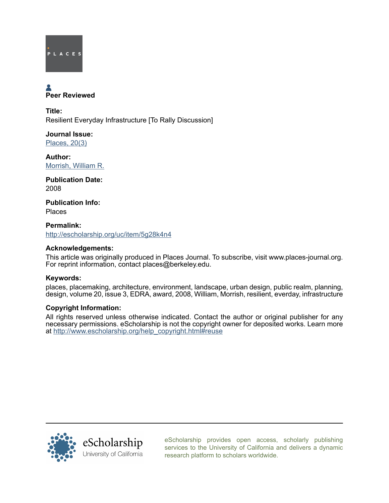

# **A**<br>Peer Reviewed

Title: Resilient Everyday Infrastructure [To Rally Discussion]

Journal Issue: [Places, 20\(3\)](http://escholarship.org/uc/ced_places?volume=20;issue=3)

Author: [Morrish, William R.](http://escholarship.org/uc/search?creator=Morrish%2C%20William%20R.)

Publication Date: 2008

Publication Info: Places

Permalink: <http://escholarship.org/uc/item/5g28k4n4>

## Acknowledgements:

This article was originally produced in Places Journal. To subscribe, visit www.places-journal.org. For reprint information, contact places@berkeley.edu.

## Keywords:

places, placemaking, architecture, environment, landscape, urban design, public realm, planning, design, volume 20, issue 3, EDRA, award, 2008, William, Morrish, resilient, everday, infrastructure

### Copyright Information:

All rights reserved unless otherwise indicated. Contact the author or original publisher for any necessary permissions. eScholarship is not the copyright owner for deposited works. Learn more at [http://www.escholarship.org/help\\_copyright.html#reuse](http://www.escholarship.org/help_copyright.html#reuse)



[eScholarship provides open access, scholarly publishing](http://escholarship.org) [services to the University of California and delivers a dynamic](http://escholarship.org) [research platform to scholars worldwide.](http://escholarship.org)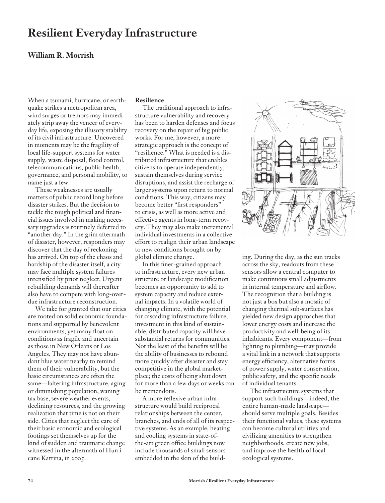# **Resilient Everyday Infrastructure**

### **William R. Morrish**

When a tsunami, hurricane, or earthquake strikes a metropolitan area, wind surges or tremors may immediately strip away the veneer of everyday life, exposing the illusory stability of its civil infrastructure. Uncovered in moments may be the fragility of local life-support systems for water supply, waste disposal, flood control, telecommunications, public health, governance, and personal mobility, to name just a few.

These weaknesses are usually matters of public record long before disaster strikes. But the decision to tackle the tough political and financial issues involved in making necessary upgrades is routinely deferred to "another day." In the grim aftermath of disaster, however, responders may discover that the day of reckoning has arrived. On top of the chaos and hardship of the disaster itself, a city may face multiple system failures intensified by prior neglect. Urgent rebuilding demands will thereafter also have to compete with long-overdue infrastructure reconstruction.

We take for granted that our cities are rooted on solid economic foundations and supported by benevolent environments, yet many float on conditions as fragile and uncertain as those in New Orleans or Los Angeles. They may not have abundant blue water nearby to remind them of their vulnerability, but the basic circumstances are often the same—faltering infrastructure, aging or diminishing population, waning tax base, severe weather events, declining resources, and the growing realization that time is not on their side. Cities that neglect the care of their basic economic and ecological footings set themselves up for the kind of sudden and traumatic change witnessed in the aftermath of Hurricane Katrina, in 2005.

### **Resilience**

The traditional approach to infrastructure vulnerability and recovery has been to harden defenses and focus recovery on the repair of big public works. For me, however, a more strategic approach is the concept of "resilience." What is needed is a distributed infrastructure that enables citizens to operate independently, sustain themselves during service disruptions, and assist the recharge of larger systems upon return to normal conditions. This way, citizens may become better "first responders" to crisis, as well as more active and effective agents in long-term recovery. They may also make incremental individual investments in a collective effort to realign their urban landscape to new conditions brought on by global climate change.

In this finer-grained approach to infrastructure, every new urban structure or landscape modification becomes an opportunity to add to system capacity and reduce external impacts. In a volatile world of changing climate, with the potential for cascading infrastructure failure, investment in this kind of sustainable, distributed capacity will have substantial returns for communities. Not the least of the benefits will be the ability of businesses to rebound more quickly after disaster and stay competitive in the global marketplace; the costs of being shut down for more than a few days or weeks can be tremendous.

A more reflexive urban infrastructure would build reciprocal relationships between the center, branches, and ends of all of its respective systems. As an example, heating and cooling systems in state-ofthe-art green office buildings now include thousands of small sensors embedded in the skin of the build-



ing. During the day, as the sun tracks across the sky, readouts from these sensors allow a central computer to make continuous small adjustments in internal temperature and airflow. The recognition that a building is not just a box but also a mosaic of changing thermal sub-surfaces has yielded new design approaches that lower energy costs and increase the productivity and well-being of its inhabitants. Every component—from lighting to plumbing—may provide a vital link in a network that supports energy efficiency, alternative forms of power supply, water conservation, public safety, and the specific needs of individual tenants.

The infrastructure systems that support such buildings—indeed, the entire human-made landscape should serve multiple goals. Besides their functional values, these systems can become cultural utilities and civilizing amenities to strengthen neighborhoods, create new jobs, and improve the health of local ecological systems.